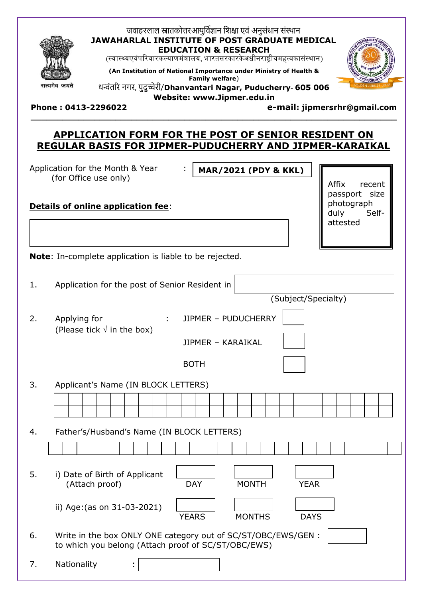

### जवाहरलाल स्नातकोत्तरआयुर्विज्ञान शिक्षा एवं अनुसंधान संस्थान **JAWAHARLAL INSTITUTE OF POST GRADUATE MEDICAL EDUCATION & RESEARCH**

(स्वास्थ्यएवंपरिवारकल्याणमंत्रालय, भारतसरकारकेअधीनराष्ट्रीयमहत्वकासंस्थान)

**(An Institution of National Importance under Ministry of Health &** 

**Family welfare**) धन्वंतरर नगर, पुदुच्चेरी/**Dhanvantari Nagar, Puducherry- 605 006**



**Website: www.Jipmer.edu.in**

**\_\_\_\_\_\_\_\_\_\_\_\_\_\_\_\_\_\_\_\_\_\_\_\_\_\_\_\_\_\_\_\_\_\_\_\_\_\_\_\_\_\_\_\_\_\_\_\_\_\_\_\_\_\_\_\_\_\_\_\_\_\_\_\_\_\_\_\_\_**

**Phone : 0413-2296022 e-mail: jipmersrhr@gmail.com**

(Subject/Specialty)

# **APPLICATION FORM FOR THE POST OF SENIOR RESIDENT ON REGULAR BASIS FOR JIPMER-PUDUCHERRY AND JIPMER-KARAIKAL**

Application for the Month & Year : (for Office use only)

**MAR/2021 (PDY & KKL)**

# **Details of online application fee**:

Affix recent passport size photograph duly Selfattested

**Note**: In-complete application is liable to be rejected.

| 1. | Application for the post of Senior Resident in $ $ |  |
|----|----------------------------------------------------|--|
|----|----------------------------------------------------|--|

2. Applying for : JIPMER – PUDUCHERRY (Please tick  $\sqrt{}$  in the box)

JIPMER – KARAIKAL

 $\Gamma$ 

BOTH

3. Applicant's Name (IN BLOCK LETTERS)

| 4. | Father's/Husband's Name (IN BLOCK LETTERS)                                                                           |              |               |             |
|----|----------------------------------------------------------------------------------------------------------------------|--------------|---------------|-------------|
|    |                                                                                                                      |              |               |             |
| 5. | i) Date of Birth of Applicant<br>(Attach proof)                                                                      | <b>DAY</b>   | <b>MONTH</b>  | <b>YEAR</b> |
|    | ii) Age: (as on 31-03-2021)                                                                                          | <b>YEARS</b> | <b>MONTHS</b> | <b>DAYS</b> |
| 6. | Write in the box ONLY ONE category out of SC/ST/OBC/EWS/GEN :<br>to which you belong (Attach proof of SC/ST/OBC/EWS) |              |               |             |
| 7. | Nationality<br>٠<br>$\blacksquare$                                                                                   |              |               |             |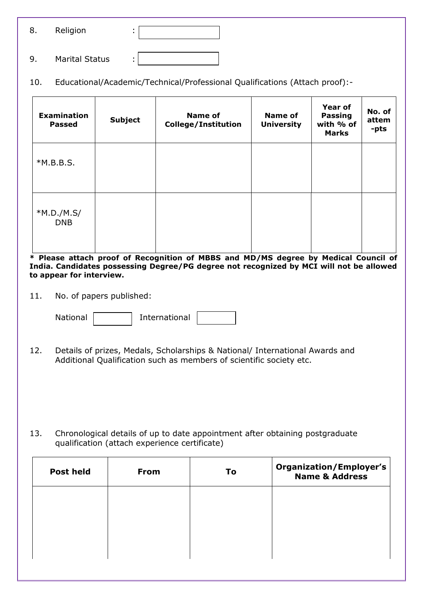| 8. | Religion |  |
|----|----------|--|
|    |          |  |

- 9. Marital Status :
- 10. Educational/Academic/Technical/Professional Qualifications (Attach proof):-

| <b>Examination</b><br><b>Passed</b> | <b>Subject</b> | <b>Name of</b><br><b>College/Institution</b> | <b>Name of</b><br><b>University</b> | <b>Year of</b><br><b>Passing</b><br>with % of<br><b>Marks</b> | No. of<br>attem<br>-pts |
|-------------------------------------|----------------|----------------------------------------------|-------------------------------------|---------------------------------------------------------------|-------------------------|
| $*M.B.B.S.$                         |                |                                              |                                     |                                                               |                         |
| $*M.D./M.S/$<br><b>DNB</b>          |                |                                              |                                     |                                                               |                         |

**\* Please attach proof of Recognition of MBBS and MD/MS degree by Medical Council of India. Candidates possessing Degree/PG degree not recognized by MCI will not be allowed to appear for interview.**

11. No. of papers published:

| <b>National</b> |  | International |  |
|-----------------|--|---------------|--|
|-----------------|--|---------------|--|

12. Details of prizes, Medals, Scholarships & National/ International Awards and Additional Qualification such as members of scientific society etc.

13. Chronological details of up to date appointment after obtaining postgraduate qualification (attach experience certificate)

| <b>Post held</b> | <b>From</b> | To | <b>Organization/Employer's</b><br><b>Name &amp; Address</b> |
|------------------|-------------|----|-------------------------------------------------------------|
|                  |             |    |                                                             |
|                  |             |    |                                                             |
|                  |             |    |                                                             |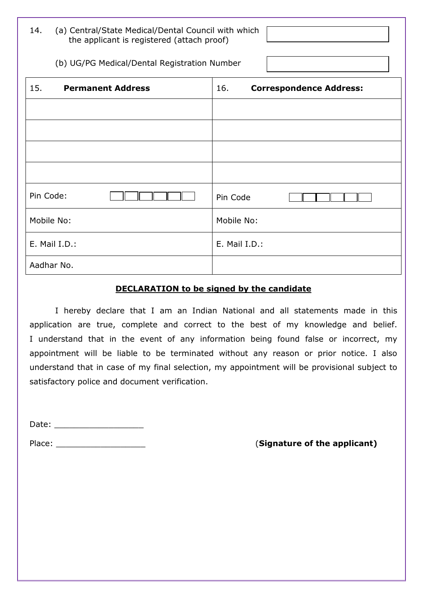| 14. | (a) Central/State Medical/Dental Council with which |
|-----|-----------------------------------------------------|
|     | the applicant is registered (attach proof)          |

## (b) UG/PG Medical/Dental Registration Number :

| 15.<br><b>Permanent Address</b> | <b>Correspondence Address:</b><br>16. |
|---------------------------------|---------------------------------------|
|                                 |                                       |
|                                 |                                       |
|                                 |                                       |
|                                 |                                       |
| Pin Code:                       | Pin Code                              |
| Mobile No:                      | Mobile No:                            |
| E. Mail I.D.:                   | E. Mail I.D.:                         |
| Aadhar No.                      |                                       |

## **DECLARATION to be signed by the candidate**

I hereby declare that I am an Indian National and all statements made in this application are true, complete and correct to the best of my knowledge and belief. I understand that in the event of any information being found false or incorrect, my appointment will be liable to be terminated without any reason or prior notice. I also understand that in case of my final selection, my appointment will be provisional subject to satisfactory police and document verification.

Date: \_\_\_\_\_\_\_\_\_\_\_\_\_\_\_\_\_\_

Place: \_\_\_\_\_\_\_\_\_\_\_\_\_\_\_\_\_\_ (**Signature of the applicant)**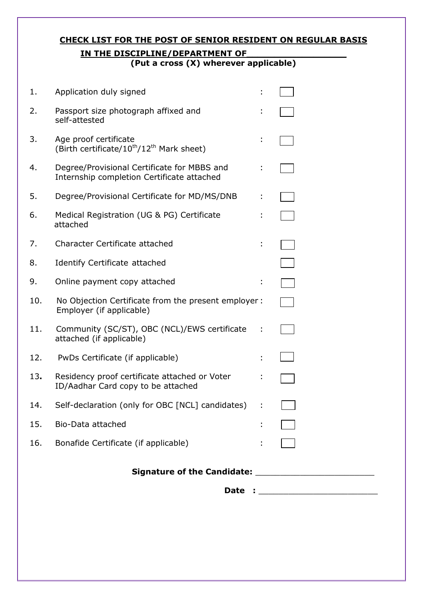# **CHECK LIST FOR THE POST OF SENIOR RESIDENT ON REGULAR BASIS IN THE DISCIPLINE/DEPARTMENT OF**

**(Put a cross (X) wherever applicable)**

|     |                                                                                            |   | Date : ___________________________ |
|-----|--------------------------------------------------------------------------------------------|---|------------------------------------|
|     |                                                                                            |   |                                    |
| 16. | Bonafide Certificate (if applicable)                                                       |   |                                    |
| 15. | Bio-Data attached                                                                          |   |                                    |
| 14. | Self-declaration (only for OBC [NCL] candidates)                                           |   |                                    |
| 13. | Residency proof certificate attached or Voter<br>ID/Aadhar Card copy to be attached        |   |                                    |
| 12. | PwDs Certificate (if applicable)                                                           |   |                                    |
| 11. | Community (SC/ST), OBC (NCL)/EWS certificate<br>attached (if applicable)                   |   |                                    |
| 10. | No Objection Certificate from the present employer :<br>Employer (if applicable)           |   |                                    |
| 9.  | Online payment copy attached                                                               | t |                                    |
| 8.  | Identify Certificate attached                                                              |   |                                    |
| 7.  | Character Certificate attached                                                             |   |                                    |
| 6.  | Medical Registration (UG & PG) Certificate<br>attached                                     |   |                                    |
| 5.  | Degree/Provisional Certificate for MD/MS/DNB                                               |   |                                    |
| 4.  | Degree/Provisional Certificate for MBBS and<br>Internship completion Certificate attached  |   |                                    |
| 3.  | Age proof certificate<br>(Birth certificate/10 <sup>th</sup> /12 <sup>th</sup> Mark sheet) |   |                                    |
| 2.  | Passport size photograph affixed and<br>self-attested                                      |   |                                    |
| 1.  | Application duly signed                                                                    |   |                                    |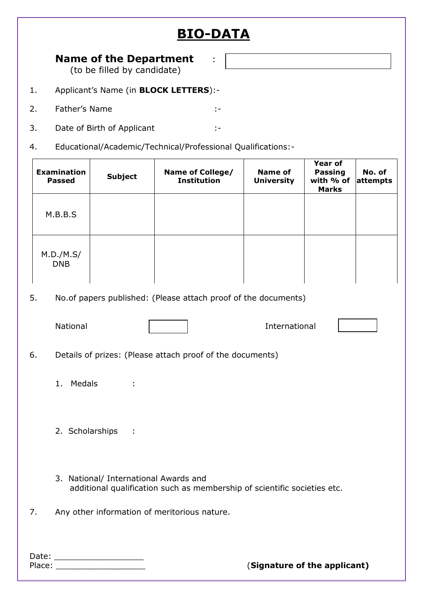# **BIO-DATA**

# **Name of the Department** :

(to be filled by candidate)

- 1. Applicant's Name (in **BLOCK LETTERS**):-
- 2. Father's Name :-
- 3. Date of Birth of Applicant :-
- 4. Educational/Academic/Technical/Professional Qualifications:-

|    | <b>Examination</b><br><b>Passed</b>                                                                               | <b>Subject</b>                | Name of College/<br><b>Institution</b>                    | <b>Name of</b><br><b>University</b> | <b>Year of</b><br><b>Passing</b><br>with % of<br><b>Marks</b> | No. of<br>attempts |  |  |  |  |  |
|----|-------------------------------------------------------------------------------------------------------------------|-------------------------------|-----------------------------------------------------------|-------------------------------------|---------------------------------------------------------------|--------------------|--|--|--|--|--|
|    | M.B.B.S                                                                                                           |                               |                                                           |                                     |                                                               |                    |  |  |  |  |  |
|    | M.D./M.S/<br><b>DNB</b>                                                                                           |                               |                                                           |                                     |                                                               |                    |  |  |  |  |  |
| 5. | No.of papers published: (Please attach proof of the documents)                                                    |                               |                                                           |                                     |                                                               |                    |  |  |  |  |  |
|    | National                                                                                                          |                               |                                                           | International                       |                                                               |                    |  |  |  |  |  |
| 6. |                                                                                                                   |                               | Details of prizes: (Please attach proof of the documents) |                                     |                                                               |                    |  |  |  |  |  |
|    | Medals<br>1.                                                                                                      |                               |                                                           |                                     |                                                               |                    |  |  |  |  |  |
|    | 2. Scholarships<br>÷                                                                                              |                               |                                                           |                                     |                                                               |                    |  |  |  |  |  |
|    | 3. National/ International Awards and<br>additional qualification such as membership of scientific societies etc. |                               |                                                           |                                     |                                                               |                    |  |  |  |  |  |
| 7. |                                                                                                                   |                               | Any other information of meritorious nature.              |                                     |                                                               |                    |  |  |  |  |  |
|    |                                                                                                                   | Date: _______________________ |                                                           | (Signature of the applicant)        |                                                               |                    |  |  |  |  |  |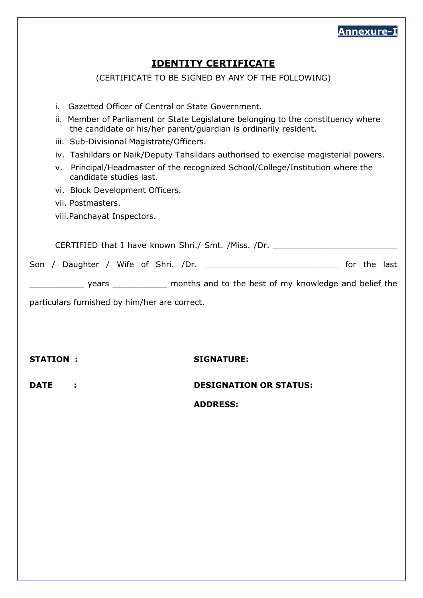

# **IDENTITY CERTIFICATE**

(CERTIFICATE TO BE SIGNED BY ANY OF THE FOLLOWING)

- i. Gazetted Officer of Central or State Government.
- ii. Member of Parliament or State Legislature belonging to the constituency where the candidate or his/her parent/guardian is ordinarily resident.
- iii. Sub-Divisional Magistrate/Officers.
- iv. Tashildars or Naik/Deputy Tahsildars authorised to exercise magisterial powers.
- v. Principal/Headmaster of the recognized School/College/Institution where the candidate studies last.
- vi. Block Development Officers.
- vii. Postmasters.

viii.Panchayat Inspectors.

Son / Daughter / Wife of Shri. /Dr.

**EXECUTE:** years \_\_\_\_\_\_\_\_\_\_\_\_\_\_ months and to the best of my knowledge and belief the

particulars furnished by him/her are correct.

### **STATION : SIGNATURE:**

**DATE : DESIGNATION OR STATUS:**

**ADDRESS:**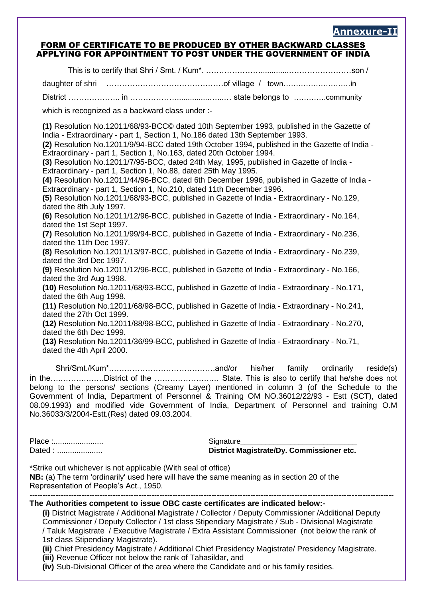#### **Annexure-II**

#### FORM OF CERTIFICATE TO BE PRODUCED BY OTHER BACKWARD CLASSES APPLYING FOR APPOINTMENT TO POST UNDER THE GOVERNMENT OF INDIA

This is to certify that Shri / Smt. / Kum\*. ………………….............……………………son / daughter of shri ………………………………………of village / town………………………in District ……………….. in ………………...............…...… state belongs to ………….community which is recognized as a backward class under :-**(1)** Resolution No.12011/68/93-BCC© dated 10th September 1993, published in the Gazette of India - Extraordinary - part 1, Section 1, No.186 dated 13th September 1993. **(2)** Resolution No.12011/9/94-BCC dated 19th October 1994, published in the Gazette of India - Extraordinary - part 1, Section 1, No.163, dated 20th October 1994. **(3)** Resolution No.12011/7/95-BCC, dated 24th May, 1995, published in Gazette of India - Extraordinary - part 1, Section 1, No.88, dated 25th May 1995. **(4)** Resolution No.12011/44/96-BCC, dated 6th December 1996, published in Gazette of India - Extraordinary - part 1, Section 1, No.210, dated 11th December 1996. **(5)** Resolution No.12011/68/93-BCC, published in Gazette of India - Extraordinary - No.129, dated the 8th July 1997. **(6)** Resolution No.12011/12/96-BCC, published in Gazette of India - Extraordinary - No.164, dated the 1st Sept 1997. **(7)** Resolution No.12011/99/94-BCC, published in Gazette of India - Extraordinary - No.236, dated the 11th Dec 1997. **(8)** Resolution No.12011/13/97-BCC, published in Gazette of India - Extraordinary - No.239, dated the 3rd Dec 1997. **(9)** Resolution No.12011/12/96-BCC, published in Gazette of India - Extraordinary - No.166, dated the 3rd Aug 1998. **(10)** Resolution No.12011/68/93-BCC, published in Gazette of India - Extraordinary - No.171, dated the 6th Aug 1998. **(11)** Resolution No.12011/68/98-BCC, published in Gazette of India - Extraordinary - No.241, dated the 27th Oct 1999. **(12)** Resolution No.12011/88/98-BCC, published in Gazette of India - Extraordinary - No.270, dated the 6th Dec 1999. **(13)** Resolution No.12011/36/99-BCC, published in Gazette of India - Extraordinary - No.71, dated the 4th April 2000. Shri/Smt./Kum\*.………………………………….and/or his/her family ordinarily reside(s) in the….……….…….District of the ………………….… State. This is also to certify that he/she does not

belong to the persons/ sections (Creamy Layer) mentioned in column 3 (of the Schedule to the Government of India, Department of Personnel & Training OM NO.36012/22/93 - Estt (SCT), dated 08.09.1993) and modified vide Government of India, Department of Personnel and training O.M No.36033/3/2004-Estt.(Res) dated 09.03.2004.

Place :....................... Signature\_\_\_\_\_\_\_\_\_\_\_\_\_\_\_\_\_\_\_\_\_\_\_\_\_\_\_\_

Dated : ..................... **District Magistrate/Dy. Commissioner etc.**

\*Strike out whichever is not applicable (With seal of office) **NB:** (a) The term 'ordinarily' used here will have the same meaning as in section 20 of the Representation of People's Act., 1950.

#### -------------------------------------------------------------------------------------------------------------------------------------------- **The Authorities competent to issue OBC caste certificates are indicated below:-**

**(i)** District Magistrate / Additional Magistrate / Collector / Deputy Commissioner /Additional Deputy Commissioner / Deputy Collector / 1st class Stipendiary Magistrate / Sub - Divisional Magistrate / Taluk Magistrate / Executive Magistrate / Extra Assistant Commissioner (not below the rank of 1st class Stipendiary Magistrate).

**(ii)** Chief Presidency Magistrate / Additional Chief Presidency Magistrate/ Presidency Magistrate.

**(iii)** Revenue Officer not below the rank of Tahasildar, and

**(iv)** Sub-Divisional Officer of the area where the Candidate and or his family resides.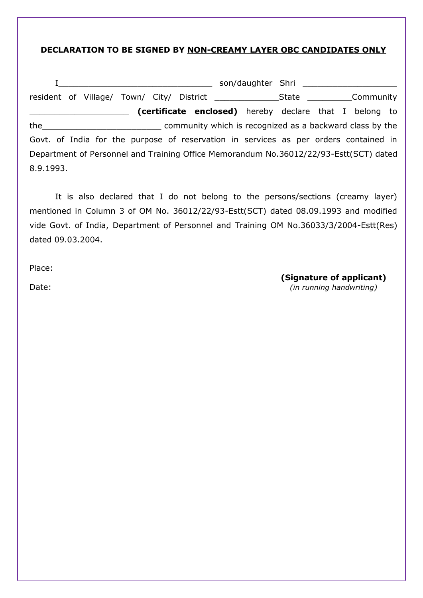## **DECLARATION TO BE SIGNED BY NON-CREAMY LAYER OBC CANDIDATES ONLY**

|           |  |  |                                                                                       | son/daughter Shri National Assembly and the source of the state of the state of the state of the state of the |  |  |
|-----------|--|--|---------------------------------------------------------------------------------------|---------------------------------------------------------------------------------------------------------------|--|--|
|           |  |  |                                                                                       |                                                                                                               |  |  |
|           |  |  | (certificate enclosed) hereby declare that I belong to                                |                                                                                                               |  |  |
|           |  |  | the the community which is recognized as a backward class by the                      |                                                                                                               |  |  |
|           |  |  | Govt. of India for the purpose of reservation in services as per orders contained in  |                                                                                                               |  |  |
|           |  |  | Department of Personnel and Training Office Memorandum No.36012/22/93-Estt(SCT) dated |                                                                                                               |  |  |
| 8.9.1993. |  |  |                                                                                       |                                                                                                               |  |  |

It is also declared that I do not belong to the persons/sections (creamy layer) mentioned in Column 3 of OM No. 36012/22/93-Estt(SCT) dated 08.09.1993 and modified vide Govt. of India, Department of Personnel and Training OM No.36033/3/2004-Estt(Res) dated 09.03.2004.

Place:

**(Signature of applicant)**

Date: *(in running handwriting)*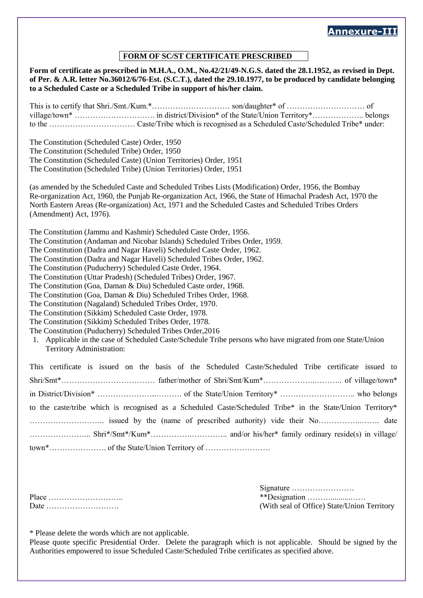# **Annexure-III**

#### **FORM OF SC/ST CERTIFICATE PRESCRIBED**

**Form of certificate as prescribed in M.H.A., O.M., No.42/21/49-N.G.S. dated the 28.1.1952, as revised in Dept. of Per. & A.R. letter No.36012/6/76-Est. (S.C.T.), dated the 29.10.1977, to be produced by candidate belonging to a Scheduled Caste or a Scheduled Tribe in support of his/her claim.** This is to certify that Shri./Smt./Kum.\*………………………… son/daughter\* of ………………………… of village/town\* …………………………. in district/Division\* of the State/Union Territory\*……………….. belongs to the …………………………… Caste/Tribe which is recognised as a Scheduled Caste/Scheduled Tribe\* under: The Constitution (Scheduled Caste) Order, 1950 The Constitution (Scheduled Tribe) Order, 1950 The Constitution (Scheduled Caste) (Union Territories) Order, 1951 The Constitution (Scheduled Tribe) (Union Territories) Order, 1951 (as amended by the Scheduled Caste and Scheduled Tribes Lists (Modification) Order, 1956, the Bombay Re-organization Act, 1960, the Punjab Re-organization Act, 1966, the State of Himachal Pradesh Act, 1970 the North Eastern Areas (Re-organization) Act, 1971 and the Scheduled Castes and Scheduled Tribes Orders (Amendment) Act, 1976). The Constitution (Jammu and Kashmir) Scheduled Caste Order, 1956. The Constitution (Andaman and Nicobar Islands) Scheduled Tribes Order, 1959. The Constitution (Dadra and Nagar Haveli) Scheduled Caste Order, 1962. The Constitution (Dadra and Nagar Haveli) Scheduled Tribes Order, 1962. The Constitution (Puducherry) Scheduled Caste Order, 1964. The Constitution (Uttar Pradesh) (Scheduled Tribes) Order, 1967. The Constitution (Goa, Daman & Diu) Scheduled Caste order, 1968. The Constitution (Goa, Daman & Diu) Scheduled Tribes Order, 1968. The Constitution (Nagaland) Scheduled Tribes Order, 1970. The Constitution (Sikkim) Scheduled Caste Order, 1978. The Constitution (Sikkim) Scheduled Tribes Order, 1978. The Constitution (Puducherry) Scheduled Tribes Order,2016 1. Applicable in the case of Scheduled Caste/Schedule Tribe persons who have migrated from one State/Union Territory Administration: This certificate is issued on the basis of the Scheduled Caste/Scheduled Tribe certificate issued to Shri/Smt\*……………………………… father/mother of Shri/Smt/Kum\*………………..……….. of village/town\* in District/Division\* …………………..………. of the State/Union Territory\* ……………………….. who belongs to the caste/tribe which is recognised as a Scheduled Caste/Scheduled Tribe\* in the State/Union Territory\* ……………………….. issued by the (name of prescribed authority) vide their No……………..……. date …………………... Shri\*/Smt\*/Kum\*…………….………….. and/or his/her\* family ordinary reside(s) in village/ town\*…………………. of the State/Union Territory of …………………….

Signature …………………… Place ……………………….. \*\*Designation ………..........…… Date ………………………. (With seal of Office) State/Union Territory

\* Please delete the words which are not applicable.

Please quote specific Presidential Order. Delete the paragraph which is not applicable. Should be signed by the Authorities empowered to issue Scheduled Caste/Scheduled Tribe certificates as specified above.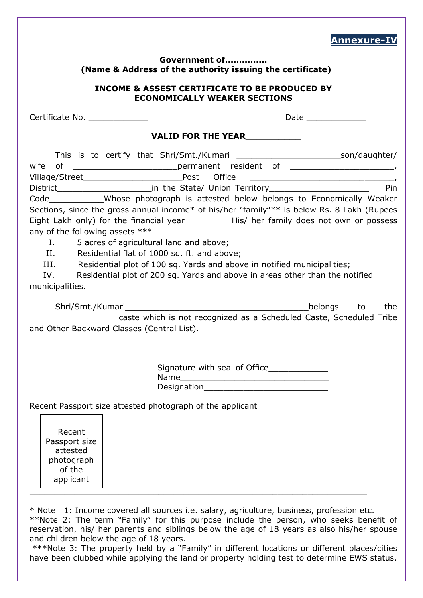|                                                                                                                                                                                     |                                                                                                                                                                                                                                                                                                                                                                                                                                                                                                                                                                                                                                | Annexure-  |  |
|-------------------------------------------------------------------------------------------------------------------------------------------------------------------------------------|--------------------------------------------------------------------------------------------------------------------------------------------------------------------------------------------------------------------------------------------------------------------------------------------------------------------------------------------------------------------------------------------------------------------------------------------------------------------------------------------------------------------------------------------------------------------------------------------------------------------------------|------------|--|
| Government of<br>(Name & Address of the authority issuing the certificate)<br><b>INCOME &amp; ASSEST CERTIFICATE TO BE PRODUCED BY</b><br><b>ECONOMICALLY WEAKER SECTIONS</b>       |                                                                                                                                                                                                                                                                                                                                                                                                                                                                                                                                                                                                                                |            |  |
|                                                                                                                                                                                     |                                                                                                                                                                                                                                                                                                                                                                                                                                                                                                                                                                                                                                |            |  |
|                                                                                                                                                                                     | <b>VALID FOR THE YEAR</b>                                                                                                                                                                                                                                                                                                                                                                                                                                                                                                                                                                                                      |            |  |
| wife<br>any of the following assets ***<br>I., 1980.<br>II.<br>III.<br>IV.<br>municipalities.                                                                                       | This is to certify that Shri/Smt./Kumari _______________________________son/daughter/<br>Code _____________Whose photograph is attested below belongs to Economically Weaker<br>Sections, since the gross annual income* of his/her "family"** is below Rs. 8 Lakh (Rupees<br>Eight Lakh only) for the financial year ___________ His/ her family does not own or possess<br>5 acres of agricultural land and above;<br>Residential flat of 1000 sq. ft. and above;<br>Residential plot of 100 sq. Yards and above in notified municipalities;<br>Residential plot of 200 sq. Yards and above in areas other than the notified | Pin<br>the |  |
| and Other Backward Classes (Central List).<br>Recent Passport size attested photograph of the applicant<br>Recent<br>Passport size<br>attested<br>photograph<br>of the<br>applicant | caste which is not recognized as a Scheduled Caste, Scheduled Tribe<br>Designation Designation                                                                                                                                                                                                                                                                                                                                                                                                                                                                                                                                 |            |  |
|                                                                                                                                                                                     | * Note 1: Income covered all sources i.e. salary, agriculture, business, profession etc.<br>**Note 2: The term "Family" for this purpose include the person, who seeks benefit of<br>reservation, his/ her parents and siblings below the age of 18 years as also his/her spouse                                                                                                                                                                                                                                                                                                                                               |            |  |

 $reservation,$  his/ her parents and sibilings below the age of 18 years. and children below the age of 18 years.

\*\*\*Note 3: The property held by a "Family" in different locations or different places/cities have been clubbed while applying the land or property holding test to determine EWS status.